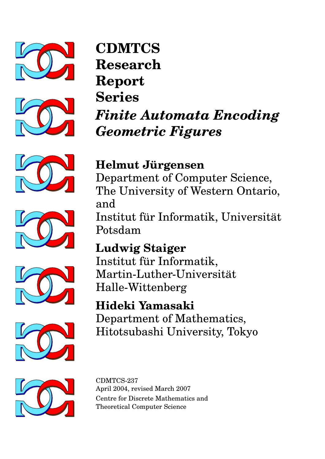











# **CDMTCS Research Report Series** *Finite Automata Encoding Geometric Figures*

# **Helmut Jürgensen**

Department of Computer Science, The University of Western Ontario, and

Institut für Informatik, Universität Potsdam

**Ludwig Staiger** Institut für Informatik, Martin-Luther-Universität Halle-Wittenberg

## **Hideki Yamasaki**

Department of Mathematics, Hitotsubashi University, Tokyo



CDMTCS-237 April 2004, revised March 2007 Centre for Discrete Mathematics and Theoretical Computer Science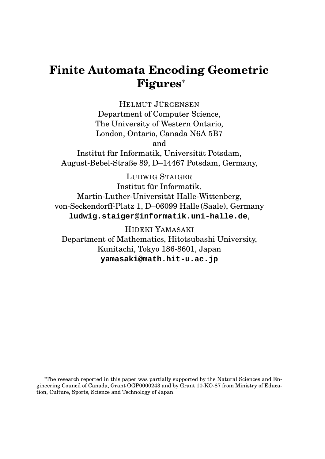## **Finite Automata Encoding Geometric Figures**<sup>∗</sup>

HELMUT JÜRGENSEN Department of Computer Science, The University of Western Ontario, London, Ontario, Canada N6A 5B7 and Institut für Informatik, Universität Potsdam, August-Bebel-Straße 89, D–14467 Potsdam, Germany,

LUDWIG STAIGER

Institut für Informatik, Martin-Luther-Universität Halle-Wittenberg, von-Seckendorff-Platz 1, D–06099 Halle (Saale), Germany **ludwig.staiger@informatik.uni-halle.de**,

HIDEKI YAMASAKI Department of Mathematics, Hitotsubashi University, Kunitachi, Tokyo 186-8601, Japan **yamasaki@math.hit-u.ac.jp**

<sup>∗</sup>The research reported in this paper was partially supported by the Natural Sciences and Engineering Council of Canada, Grant OGP0000243 and by Grant 10-KO-87 from Ministry of Education, Culture, Sports, Science and Technology of Japan.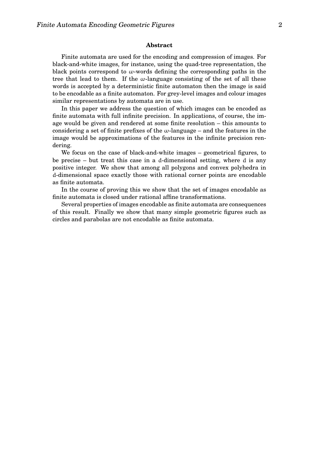#### **Abstract**

Finite automata are used for the encoding and compression of images. For black-and-white images, for instance, using the quad-tree representation, the black points correspond to  $\omega$ -words defining the corresponding paths in the tree that lead to them. If the  $\omega$ -language consisting of the set of all these words is accepted by a deterministic finite automaton then the image is said to be encodable as a finite automaton. For grey-level images and colour images similar representations by automata are in use.

In this paper we address the question of which images can be encoded as finite automata with full infinite precision. In applications, of course, the image would be given and rendered at some finite resolution – this amounts to considering a set of finite prefixes of the  $\omega$ -language – and the features in the image would be approximations of the features in the infinite precision rendering.

We focus on the case of black-and-white images – geometrical figures, to be precise – but treat this case in a d-dimensional setting, where d is any positive integer. We show that among all polygons and convex polyhedra in d-dimensional space exactly those with rational corner points are encodable as finite automata.

In the course of proving this we show that the set of images encodable as finite automata is closed under rational affine transformations.

Several properties of images encodable as finite automata are consequences of this result. Finally we show that many simple geometric figures such as circles and parabolas are not encodable as finite automata.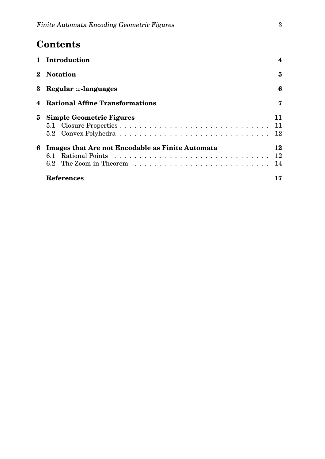## **Contents**

|   | Introduction                                                          | 4              |
|---|-----------------------------------------------------------------------|----------------|
|   | <b>Notation</b>                                                       | 5              |
| 3 | Regular $\omega$ -languages                                           | 6              |
|   | <b>Rational Affine Transformations</b>                                | 7              |
| 5 | <b>Simple Geometric Figures</b>                                       | 11<br>11<br>12 |
| 6 | <b>Images that Are not Encodable as Finite Automata</b><br>6.1<br>6.2 | 12<br>12<br>14 |
|   | <b>References</b>                                                     |                |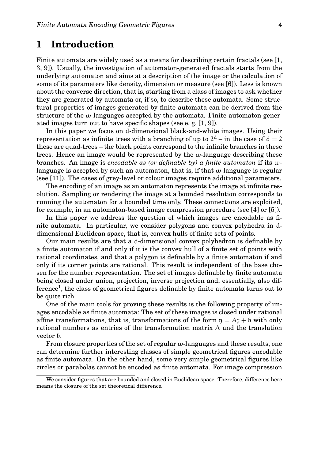### **1 Introduction**

Finite automata are widely used as a means for describing certain fractals (see [1, 3, 9]). Usually, the investigation of automaton-generated fractals starts from the underlying automaton and aims at a description of the image or the calculation of some of its parameters like density, dimension or measure (see [6]). Less is known about the converse direction, that is, starting from a class of images to ask whether they are generated by automata or, if so, to describe these automata. Some structural properties of images generated by finite automata can be derived from the structure of the  $\omega$ -languages accepted by the automata. Finite-automaton generated images turn out to have specific shapes (see e. g. [1, 9]).

In this paper we focus on d-dimensional black-and-white images. Using their representation as infinite trees with a branching of up to  $2<sup>d</sup>$  – in the case of  $d = 2$ these are quad-trees – the black points correspond to the infinite branches in these trees. Hence an image would be represented by the  $\omega$ -language describing these branches. An image is *encodable as (or definable by) a finite automaton* if its ωlanguage is accepted by such an automaton, that is, if that  $\omega$ -language is regular (see [11]). The cases of grey-level or colour images require additional parameters.

The encoding of an image as an automaton represents the image at infinite resolution. Sampling or rendering the image at a bounded resolution corresponds to running the automaton for a bounded time only. These connections are exploited, for example, in an automaton-based image compression procedure (see [4] or [5]).

In this paper we address the question of which images are encodable as finite automata. In particular, we consider polygons and convex polyhedra in ddimensional Euclidean space, that is, convex hulls of finite sets of points.

Our main results are that a d-dimensional convex polyhedron is definable by a finite automaton if and only if it is the convex hull of a finite set of points with rational coordinates, and that a polygon is definable by a finite automaton if and only if its corner points are rational. This result is independent of the base chosen for the number representation. The set of images definable by finite automata being closed under union, projection, inverse projection and, essentially, also difference $^1$ , the class of geometrical figures definable by finite automata turns out to be quite rich.

One of the main tools for proving these results is the following property of images encodable as finite automata: The set of these images is closed under rational affine transformations, that is, transformations of the form  $\eta = Ax + b$  with only rational numbers as entries of the transformation matrix A and the translation vector b.

From closure properties of the set of regular  $\omega$ -languages and these results, one can determine further interesting classes of simple geometrical figures encodable as finite automata. On the other hand, some very simple geometrical figures like circles or parabolas cannot be encoded as finite automata. For image compression

 $1$ We consider figures that are bounded and closed in Euclidean space. Therefore, difference here means the closure of the set theoretical difference.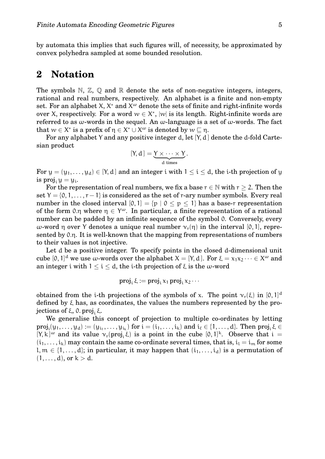by automata this implies that such figures will, of necessity, be approximated by convex polyhedra sampled at some bounded resolution.

### **2 Notation**

The symbols  $\mathbb{N}, \mathbb{Z}, \mathbb{Q}$  and  $\mathbb{R}$  denote the sets of non-negative integers, integers, rational and real numbers, respectively. An alphabet is a finite and non-empty set. For an alphabet X,  $X^*$  and  $X^{\omega}$  denote the sets of finite and right-infinite words over X, respectively. For a word  $w \in X^*$ ,  $|w|$  is its length. Right-infinite words are referred to as  $\omega$ -words in the sequel. An  $\omega$ -language is a set of  $\omega$ -words. The fact that  $w \in X^*$  is a prefix of  $\eta \in X^* \cup X^{\omega}$  is denoted by  $w \sqsubseteq \eta$ .

For any alphabet Y and any positive integer d, let  $[Y, d]$  denote the d-fold Cartesian product

$$
[Y,d]=\underbrace{Y\times\cdots\times Y}_{d\text{ times}}.
$$

For  $y = (y_1, \ldots, y_d) \in [Y, d]$  and an integer i with  $1 \le i \le d$ , the i-th projection of y is  $proj_i y = y_i$ .

For the representation of real numbers, we fix a base  $r \in \mathbb{N}$  with  $r > 2$ . Then the set  $Y = \{0, 1, \ldots, r - 1\}$  is considered as the set of r-ary number symbols. Every real number in the closed interval  $[0, 1] = \{p | 0 \le p \le 1\}$  has a base-r representation of the form 0.η where  $\eta \in Y^{\omega}$ . In particular, a finite representation of a rational number can be padded by an infinite sequence of the symbol 0. Conversely, every ω-word η over Y denotes a unique real number  $v_r(n)$  in the interval [0, 1], represented by 0.η. It is well-known that the mapping from representations of numbers to their values is not injective.

Let d be a positive integer. To specify points in the closed d-dimensional unit cube  $[0,1]^d$  we use  $\omega$ -words over the alphabet  $X=[Y,d]$ . For  $\xi = x_1x_2\cdots \in X^\omega$  and an integer i with  $1 \le i \le d$ , the i-th projection of  $\xi$  is the w-word

$$
\mathrm{proj}_i \, \xi := \mathrm{proj}_i \, x_1 \, \mathrm{proj}_i \, x_2 \cdots
$$

obtained from the i-th projections of the symbols of x. The point  $v_r(\xi)$  in  $[0, 1]^d$ defined by ξ has, as coordinates, the values the numbers represented by the projections of ξ, 0. proj<sub>i</sub> ξ.

We generalise this concept of projection to multiple co-ordinates by letting  $\mathrm{proj}_\mathfrak{i}(\mathfrak{y}_1,\ldots,\mathfrak{y}_d)\coloneqq(\mathfrak{y}_{\mathfrak{i}_1},\ldots,\mathfrak{y}_{\mathfrak{i}_k})\text{ for }\mathfrak{i}=(\mathfrak{i}_1,\ldots,\mathfrak{i}_k)\text{ and }\mathfrak{i}_\ell\in\{1,\ldots,d\}\text{. Then }\mathrm{proj}_\mathfrak{i}\ \xi\in$  $[Y, k]$ <sup>ω</sup> and its value  $\nu_r(proj_i \xi)$  is a point in the cube  $[0, 1]^k$ . Observe that i =  $(i_1, \ldots, i_k)$  may contain the same co-ordinate several times, that is,  $i_l = i_m$  for some l,  $m \in \{1, \ldots, d\}$ ; in particular, it may happen that  $(i_1, \ldots, i_d)$  is a permutation of  $(1, ..., d)$ , or  $k > d$ .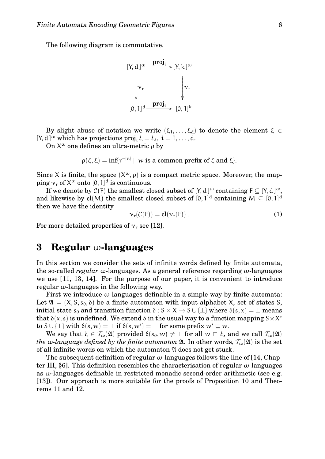The following diagram is commutative.



By slight abuse of notation we write  $(\xi_1, \ldots, \xi_d)$  to denote the element  $\xi \in$ [Y, d]<sup> $\omega$ </sup> which has projections  $proj_i \xi = \xi_i$ , i = 1, ..., d.

On  $X^{\omega}$  one defines an ultra-metric ρ by

 $\rho(\zeta, \xi) = \inf \{ r^{-|w|} \mid w \text{ is a common prefix of } \zeta \text{ and } \xi \}.$ 

Since X is finite, the space  $(X^{\omega}, \rho)$  is a compact metric space. Moreover, the map- $\min_{\mathbf{y}} \mathbf{y}_{\mathrm{r}}$  of  $\mathsf{X}^{\omega}$  onto  $[0,1]^{\mathrm{d}}$  is continuous.

If we denote by  $C(F)$  the smallest closed subset of  $[X, d]^\omega$  containing  $F \subseteq [Y, d]^\omega$ , and likewise by  $cl(M)$  the smallest closed subset of  $[0,1]^d$  containing  $M \subseteq [0,1]^d$ then we have the identity

$$
\nu_r(\mathcal{C}(F)) = cl(\nu_r(F)). \tag{1}
$$

For more detailed properties of  $v_r$  see [12].

#### **3 Regular** ω**-languages**

In this section we consider the sets of infinite words defined by finite automata, the so-called *regular* ω-languages. As a general reference regarding ω-languages we use [11, 13, 14]. For the purpose of our paper, it is convenient to introduce regular  $\omega$ -languages in the following way.

First we introduce  $\omega$ -languages definable in a simple way by finite automata: Let  $\mathfrak{A} = (X, S, s_0, \delta)$  be a finite automaton with input alphabet X, set of states S, initial state  $s_0$  and transition function  $\delta : S \times X \to S \cup \{\perp\}$  where  $\delta(s, x) = \perp$  means that  $\delta(x, s)$  is undefined. We extend  $\delta$  in the usual way to a function mapping  $S \times X^*$  $\text{to } S \cup \{\bot\} \text{ with } \delta(s, w) = \bot \text{ if } \delta(s, w') = \bot \text{ for some prefix } w' \sqsubseteq w.$ 

We say that  $\xi \in \mathcal{T}_{\omega}(\mathfrak{A})$  provided  $\delta(s_0, w) \neq \perp$  for all  $w \subset \xi$ , and we call  $\mathcal{T}_{\omega}(\mathfrak{A})$ *the* w-language defined by the finite automaton  $\mathfrak{A}$ . In other words,  $\mathcal{T}_{\omega}(\mathfrak{A})$  is the set of all infinite words on which the automaton  $\mathfrak A$  does not get stuck.

The subsequent definition of regular  $\omega$ -languages follows the line of [14, Chapter III,  $\S6$ ]. This definition resembles the characterisation of regular  $\omega$ -languages as ω-languages definable in restricted monadic second-order arithmetic (see e.g. [13]). Our approach is more suitable for the proofs of Proposition 10 and Theorems 11 and 12.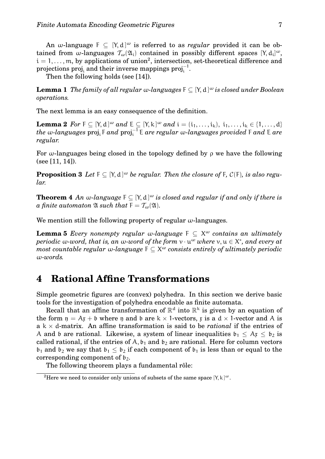An w-language  $F \subseteq [Y, d]^{\omega}$  is referred to as *regular* provided it can be obtained from w-languages  $\mathcal{T}_{\omega}(\mathfrak{A}_{i})$  contained in possibly different spaces [Y, d<sub>i</sub>]<sup> $\omega$ </sup>,  $i = 1, \ldots, m$ , by applications of union<sup>2</sup>, intersection, set-theoretical difference and projections  $proj_i$  and their inverse mappings  $proj_i^{-1}$ .

Then the following holds (see [14]).

**Lemma 1** *The family of all regular* ω*-languages* F ⊆ [Y, d ] <sup>ω</sup> *is closed under Boolean operations.*

The next lemma is an easy consequence of the definition.

**Lemma 2** For  $F \subseteq [Y, d]^{\omega}$  and  $E \subseteq [Y, k]^{\omega}$  and  $i = (i_1, \ldots, i_k), i_1, \ldots, i_k \in \{1, \ldots, d\}$ *the* ω*-languages* proj<sup>i</sup> F *and* proj<sup>−</sup><sup>1</sup> <sup>i</sup> E *are regular* ω*-languages provided* F *and* E *are regular.*

For  $\omega$ -languages being closed in the topology defined by  $\rho$  we have the following (see [11, 14]).

**Proposition 3** Let  $F \subseteq [Y, d]^{\omega}$  be regular. Then the closure of F,  $C(F)$ , is also regu*lar.*

**Theorem 4** An w-language  $F \subseteq [Y, d]^{\omega}$  is closed and regular if and only if there is *a finite automaton*  $\mathfrak{A}$  *such that*  $F = T_{\omega}(\mathfrak{A})$ *.* 

We mention still the following property of regular  $\omega$ -languages.

**Lemma 5** *Every nonempty regular* ω*-language* F ⊆ X <sup>ω</sup> *contains an ultimately periodic* ω*-word, that is, an* ω*-word of the form* v · u <sup>ω</sup> *where* v, u ∈ X ∗ *, and every at most countable regular* ω*-language* F ⊆ X <sup>ω</sup> *consists entirely of ultimately periodic* ω*-words.*

### **4 Rational Affine Transformations**

Simple geometric figures are (convex) polyhedra. In this section we derive basic tools for the investigation of polyhedra encodable as finite automata.

Recall that an affine transformation of  $\mathbb{R}^d$  into  $\mathbb{R}^k$  is given by an equation of the form  $\eta = A x + b$  where  $\eta$  and  $b$  are  $k \times 1$ -vectors, x is a  $d \times 1$ -vector and A is a k × d-matrix. An affine transformation is said to be *rational* if the entries of A and b are rational. Likewise, a system of linear inequalities  $b_1 \leq A_r \leq b_2$  is called rational, if the entries of A,  $\mathfrak{b}_1$  and  $\mathfrak{b}_2$  are rational. Here for column vectors  $\mathfrak{b}_1$  and  $\mathfrak{b}_2$  we say that  $\mathfrak{b}_1 < \mathfrak{b}_2$  if each component of  $\mathfrak{b}_1$  is less than or equal to the corresponding component of  $\mathfrak{b}_2$ .

The following theorem plays a fundamental rôle:

<sup>&</sup>lt;sup>2</sup>Here we need to consider only unions of subsets of the same space  $[\Upsilon, k]^{\omega}$ .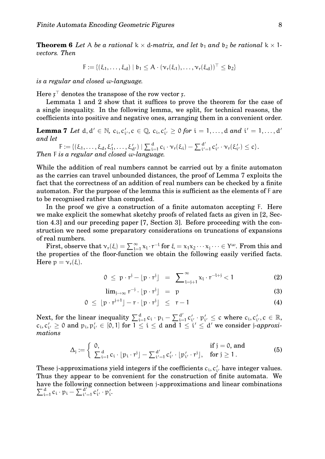**Theorem 6** Let A be a rational  $k \times d$ -matrix, and let  $b_1$  and  $b_2$  be rational  $k \times 1$ *vectors. Then*

$$
F := \{(\xi_1, \ldots, \xi_d) \mid \mathfrak{b}_1 \leq A \cdot (\nu_r(\xi_1), \ldots, \nu_r(\xi_d))^\top \leq \mathfrak{b}_2\}
$$

*is a regular and closed* ω*-language.*

Here  $\mathfrak{x}^{\top}$  denotes the transpose of the row vector  $\mathfrak{x}.$ 

Lemmata 1 and 2 show that it suffices to prove the theorem for the case of a single inequality. In the following lemma, we split, for technical reasons, the coefficients into positive and negative ones, arranging them in a convenient order.

**Lemma 7** *Let* d,  $d' \in \mathbb{N}$ ,  $c_i, c'_{i'}, c \in \mathbb{Q}$ ,  $c_i, c'_{i'} \ge 0$  *for*  $i = 1, ..., d$  *and*  $i' = 1, ..., d'$ *and let*

 $F := \{(\xi_1, \ldots, \xi_d, \xi'_1, \ldots, \xi'_{d'}) \mid \sum_{i=1}^d c_i \cdot \nu_r(\xi_i) - \sum_{i'}^{d'} c_i\}$  ${}_{i'=1}^{d'} c'_{i'} \cdot \nu_r(\xi'_{i'}) \leq c$ . *Then* F *is a regular and closed* ω*-language.*

While the addition of real numbers cannot be carried out by a finite automaton as the carries can travel unbounded distances, the proof of Lemma 7 exploits the fact that the correctness of an addition of real numbers can be checked by a finite automaton. For the purpose of the lemma this is sufficient as the elements of F are to be recognised rather than computed.

In the proof we give a construction of a finite automaton accepting F. Here we make explicit the somewhat sketchy proofs of related facts as given in [2, Section 4.3] and our preceding paper [7, Section 3]. Before proceeding with the construction we need some preparatory considerations on truncations of expansions of real numbers.

First, observe that  $v_r(\xi) = \sum_{l=1}^{\infty} x_l \cdot r^{-l}$  for  $\xi = x_1 x_2 \cdots x_j \cdots \in Y^{\omega}$ . From this and the properties of the floor-function we obtain the following easily verified facts. Here  $p = v_r(\xi)$ .

$$
0 \leq p \cdot r^{j} - \lfloor p \cdot r^{j} \rfloor = \sum_{l=j+1}^{\infty} x_{l} \cdot r^{-l+j} < 1
$$
 (2)

$$
\lim_{j \to \infty} r^{-j} \cdot [p \cdot r^j] = p \tag{3}
$$

$$
0 \leq \lfloor p \cdot r^{j+1} \rfloor - r \cdot \lfloor p \cdot r^{j} \rfloor \leq r-1 \tag{4}
$$

Next, for the linear inequality  $\sum_{i=1}^d c_i \cdot p_i - \sum_{i=1}^{d'} c_i$  $_{i=1}^{d'}$   $c'_{i'} \cdot p'_{i'} \leq c$  where  $c_i, c'_{i'}, c \in \mathbb{R}$ ,  $c_i, c'_{i'} \geq 0$  and  $p_i, p'_{i'} \in [0, 1]$  for  $1 \leq i \leq d$  and  $1 \leq i' \leq d'$  we consider j-approxi*mations*

$$
\Delta_j := \begin{cases} 0, & \text{if } j = 0, \text{ and} \\ \sum_{i=1}^d c_i \cdot [p_i \cdot r^j] - \sum_{i'=1}^{d'} c'_{i'} \cdot [p'_{i'} \cdot r^j], & \text{for } j \ge 1. \end{cases}
$$
(5)

These j-approximations yield integers if the coefficients  $c_i, c'_{i'}$  have integer values. Thus they appear to be convenient for the construction of finite automata. We have the following connection between j-approximations and linear combinations  $\sum_{i=1}^{d}$  $_{i=1}^d c_i \cdot p_i - \sum_{i',i'}^{d'}$  $_{i'=1}^{d'} c'_{i'} \cdot p'_{i'}$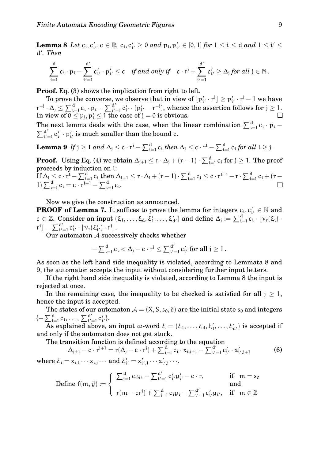**Lemma 8** *Let*  $c_i, c'_{i'}, c \in \mathbb{R}$ ,  $c_i, c'_{i'} \ge 0$  *and*  $p_i, p'_{i'} \in [0, 1]$  *for*  $1 \le i \le d$  *and*  $1 \le i' \le 0$ d'. Then

$$
\sum_{i=1}^d c_i \cdot p_i - \sum_{i'=1}^{d'} c'_{i'} \cdot p'_{i'} \leq c \quad \text{if and only if} \quad c \cdot r^j + \sum_{i'=1}^{d'} c'_{i'} \geq \Delta_j \text{ for all } j \in \mathbb{N}.
$$

**Proof.** Eq. (3) shows the implication from right to left.

To prove the converse, we observe that in view of  $\lfloor p'_{i'} \cdot r^j \rfloor \geq p'_{i'} \cdot r^j - 1$  we have  $\mathop{\mathsf{r}}\nolimits^{-\mathfrak j} \cdot \Delta_{\mathfrak j} \leq \sum_{\mathfrak{i}=1}^{\mathfrak{d}} c_\mathfrak{i} \cdot p_\mathfrak{i} - \sum_{\mathfrak{i}^\prime:}^{\mathfrak{d}^\prime}$  $\int_{i'=1}^{d'} c'_{i'} \cdot (p'_{i'} - r^{-j}),$  whence the assertion follows for  $j \geq 1$ . In view of  $0 \le p_i, p'_i \le 1$  the case of  $j = 0$  is obvious.

The next lemma deals with the case, when the linear combination  $\sum_{i=1}^d c_i \cdot p_i$  –  $\sum_{i}$ <sup>d</sup>  $\int_{i'=1}^{d'} c'_{i'} \cdot p'_{i'}$  is much smaller than the bound c.

**Lemma 9** If 
$$
j \ge 1
$$
 and  $\Delta_j \le c \cdot r^j - \sum_{i=1}^d c_i$  then  $\Delta_l \le c \cdot r^l - \sum_{i=1}^d c_i$  for all  $l \ge j$ .

**Proof.** Using Eq. (4) we obtain  $\Delta_{j+1} \leq r \cdot \Delta_j + (r-1) \cdot \sum_{i=1}^d c_i$  for  $j \geq 1$ . The proof proceeds by induction on l:

$$
\begin{array}{l} \overline{If}\,\Delta_l \leq c \cdot r^l - \sum_{i=1}^d c_i \; then \; \Delta_{l+1} \leq r \cdot \Delta_l + (r-1) \cdot \sum_{i=1}^d c_i \leq c \cdot r^{l+1} - r \cdot \sum_{i=1}^d c_i + (r-1) \sum_{i=1}^d c_i = c \cdot r^{l+1} - \sum_{i=1}^d c_i. \end{array}
$$

Now we give the construction as announced.

**PROOF of Lemma 7.** It suffices to prove the lemma for integers  $c_i, c'_{i'} \in \mathbb{N}$  and  $c\in\mathbb{Z}.$  Consider an input  $(\xi_1,\ldots,\xi_d,\xi_1',\ldots,\xi_{d'})$  and define  $\Delta_j:=\sum_{i=1}^d c_i\cdot\lfloor\nu_r(\xi_i)\cdot\rfloor$  $[\mathbf{r}^{\mathrm{j}}] - \sum_{\mathrm{i}^{\prime}}^{\mathrm{d}^{\prime}}$  $\int_{i'=1}^{d'} C'_{i'} \cdot \left[ \nu_r(\xi'_{i'}) \cdot r^j \right].$ 

Our automaton  $A$  successively checks whether

$$
-\sum_{i=1}^d c_i < \Delta_j - c \cdot r^j \leq \sum_{i'=1}^{d'} c'_{i'} \text{ for all } j \geq 1\,.
$$

As soon as the left hand side inequality is violated, according to Lemmata 8 and 9, the automaton accepts the input without considering further input letters.

If the right hand side inequality is violated, according to Lemma 8 the input is rejected at once.

In the remaining case, the inequality to be checked is satisfied for all  $j \geq 1$ , hence the input is accepted.

The states of our automaton  $A = (X, S, s_0, \delta)$  are the initial state  $s_0$  and integers  $\{-\sum_{i=1}^d c_i, \ldots, \sum_{i'}^d c_i\}$  $_{i'=1}^{d'} c'_{i'}$ .

As explained above, an input w-word  $\xi = (\xi_1, \dots, \xi_d, \xi'_1, \dots, \xi'_{d'})$  is accepted if and only if the automaton does not get stuck.

The transition function is defined according to the equation

$$
\Delta_{j+1} - c \cdot r^{j+1} = r(\Delta_j - c \cdot r^j) + \sum_{i=1}^d c_i \cdot x_{i,j+1} - \sum_{i'=1}^{d'} c'_{i'} \cdot x'_{i',j+1}
$$
(6)  
where  $\xi_i = x_{i,1} \cdots x_{i,j} \cdots$  and  $\xi'_{i'} = x'_{i',1} \cdots x'_{i',j} \cdots$ .

$$
\text{Define } f(m, \vec{y}) := \left\{ \begin{array}{ll} \sum_{i=1}^d c_i y_i - \sum_{i'=1}^{d'} c'_{i'} y'_{i'} - c \cdot r, & \text{if } m=s_0 \\ \text{and} \\ r(m-cr^j) + \sum_{i=1}^d c_i y_i - \sum_{i'=1}^{d'} c'_{i'} y_{i'}, & \text{if } m \in \mathbb{Z} \end{array} \right.
$$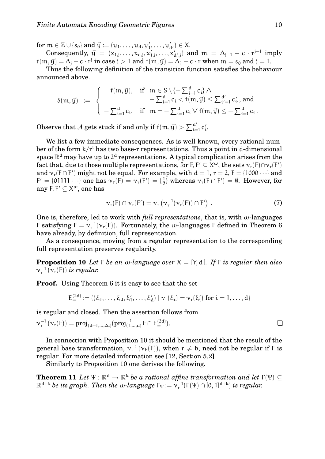for  $m \in \mathbb{Z} \cup \{s_0\}$  and  $\vec{y} := (y_1, \ldots, y_d, y_1', \ldots, y_{d'}') \in X$ .

Consequently,  $\vec{y} = (x_{1,j},...,x_{d,j},x'_{1,j},...,x'_{d',j})$  and  $m = \Delta_{j-1} - c \cdot r^{j-1}$  imply  $f(m, \vec{y}) = \Delta_j - c \cdot r^j$  in case  $j > 1$  and  $f(m, \vec{y}) = \Delta_1 - c \cdot r$  when  $m = s_0$  and  $j = 1$ .

Thus the following definition of the transition function satisfies the behaviour announced above.

$$
\delta(\mathfrak{m},\vec{y})\ :=\ \left\{\begin{array}{ccl} f(\mathfrak{m},\vec{y}),&\text{if}&\mathfrak{m}\in S\setminus\{-\sum_{i=1}^d c_i\}\wedge\\&-\sum_{i=1}^d c_i< f(\mathfrak{m},\vec{y})\leq\sum_{i'=1}^{d'} c'_{i'},\text{and}\\&-\sum_{i=1}^d c_i,&\text{if}&\mathfrak{m}=-\sum_{i=1}^d c_i\vee f(\mathfrak{m},\vec{y})\leq-\sum_{i=1}^d c_i\,. \end{array}\right.
$$

Observe that A gets stuck if and only if  $f(m, \vec{y}) > \sum_{i=1}^{d'}$  $_{i=1}^{d'}$   $c'_i$ .

We list a few immediate consequences. As is well-known, every rational number of the form  $k/r^l$  has two base-r representations. Thus a point in d-dimensional space  $\mathbb{R}^d$  may have up to  $2^d$  representations. A typical complication arises from the fact that, due to those multiple representations, for F, F' ⊆ X $^\omega$ , the sets  $\rm v_r(F)\cap \rm v_r(F')$ and  $v_r(F \cap F')$  might not be equal. For example, with  $d = 1$ ,  $r = 2$ ,  $F = \{1000 \cdots\}$  and  $F' = {01111 \cdots}$  one has  $ν_r(F) = ν_r(F') = {1 \over 2}$  $\frac{1}{2}$  whereas  $v_r(F \cap F') = \emptyset$ . However, for any  $F, F' \subseteq X^{\omega}$ , one has

$$
\nu_r(F) \cap \nu_r(F') = \nu_r \left( \nu_r^{-1}(\nu_r(F)) \cap F' \right) . \tag{7}
$$

One is, therefore, led to work with *full representations*, that is, with  $\omega$ -languages F satisfying  $F = \nu_r^{-1}(\nu_r(F))$ . Fortunately, the w-languages F defined in Theorem 6 have already, by definition, full representation.

As a consequence, moving from a regular representation to the corresponding full representation preserves regularity.

**Proposition 10** *Let* F *be an*  $\omega$ *-language over*  $X = [Y, d]$ *. If* F *is regular then also*  $v_r^{-1}(\nu_r(F))$  *is regular.* 

**Proof.** Using Theorem 6 it is easy to see that the set

$$
E^{(2d)}_{=}:=\{(\xi_1,\ldots,\xi_d,\xi_1',\ldots,\xi_d')\mid \nu_r(\xi_i)=\nu_r(\xi_i')\text{ for }i=1,\ldots,d\}
$$

is regular and closed. Then the assertion follows from

$$
\boldsymbol{\gamma}_{r}^{-1}\left(\boldsymbol{\gamma}_{r}(\boldsymbol{F})\right)=\textbf{proj}_{(d+1,...,2d)}(\textbf{proj}_{(1,...,d)}^{-1}\boldsymbol{F}\cap\boldsymbol{E}_{=}^{(2d)}).
$$

In connection with Proposition 10 it should be mentioned that the result of the general base transformation,  $\gamma_{\rm r}^{-1}$   $(\nu_{\rm b}({\rm F})),$  when  $r\neq$  b, need not be regular if F is regular. For more detailed information see [12, Section 5.2].

Similarly to Proposition 10 one derives the following.

**Theorem 11** *Let*  $\Psi : \mathbb{R}^d \to \mathbb{R}^k$  *be a rational affine transformation and let*  $\Gamma(\Psi) \subseteq$ <br> $\mathbb{R}^{d+k}$  *be its graph.* Then the webganger  $\Gamma$  and  $\Gamma(\mathbb{C}(\mathbb{R})) \cap [0,1]^{d+k}$  is graphs.  $\mathbb{R}^{d+k}$  *be its graph. Then the w-language*  $F_{\Psi} := \nu_{r}^{-1}(\Gamma(\Psi) \cap [0,1]^{d+k})$  *is regular.*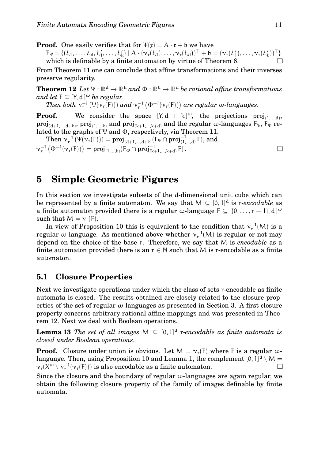**Proof.** One easily verifies that for  $\Psi(x) = A \cdot x + b$  we have  $F_{\Psi} = \{(\xi_1, ..., \xi_d, \xi'_1, ..., \xi'_k) | A \cdot (\nu_r(\xi_1), ..., \nu_r(\xi_d))^{\top} + \mathfrak{b} = (\nu_r(\xi'_1), ..., \nu_r(\xi'_k))^{\top}\}$ which is definable by a finite automaton by virtue of Theorem 6.

From Theorem 11 one can conclude that affine transformations and their inverses preserve regularity.

**Theorem 12** Let  $\Psi : \mathbb{R}^d \to \mathbb{R}^k$  and  $\Phi : \mathbb{R}^k \to \mathbb{R}^d$  be rational affine transformations<br>and let  $\Gamma \subset \mathbb{N}$  alw happenlan and let  $F \subseteq [Y, d]$ <sup>*w*</sup> be regular.

*Then both*  $v_r^{-1}(\Psi(\nu_r(F)))$  *and*  $v_r^{-1}(\Phi^{-1}(\nu_r(F)))$  *are regular* w-languages.

**Proof.** We consider the space  $[X, d + k]^{\omega}$ , the projections proj<sub>(1,...,d)</sub>,  $proj_{(d+1,...,d+k)},\,proj_{(1,...,k)}$  and  $proj_{(k+1,...,k+d)}$  and the regular  $\omega$ -languages F<sub>Y</sub>, F<sub>Φ</sub> related to the graphs of Ψ and Φ, respectively, via Theorem 11.

 $\text{Then }\gamma_{r}^{-1}\left(\Psi(\gamma_{r}(\mathsf{F}))\right)=\text{proj}_{\left(\text{d}+1,...,\text{d}+\mathsf{k}\right)}(\mathsf{F}_{\Psi}\cap\text{proj}_{\left(1,...,\text{d}\right)}^{-1}\mathsf{F}), \text{ and}$  $\begin{split} \boldsymbol{\gamma}_\mathrm{r}^{-1}\left(\Phi^{-1}(\boldsymbol{\gamma}_\mathrm{r}(\mathsf{F}))\right) &= \mathbf{proj}_{(1,...,\mathrm{k})}(\mathsf{F}_\Phi \cap \mathbf{proj}_{(\mathrm{k+1},\dots,\mathrm{k+d})}^{-1}\,\mathsf{F})\,. \end{split}$ 

## **5 Simple Geometric Figures**

In this section we investigate subsets of the d-dimensional unit cube which can be represented by a finite automaton. We say that  $M \subseteq [0,1]^d$  is r-encodable as a finite automaton provided there is a regular w-language  $F \subseteq [\{0, \ldots, r-1\}, d]^{\omega}$ such that  $M = v_r(F)$ .

In view of Proposition 10 this is equivalent to the condition that  $v_r^{-1}(M)$  is a regular  $\omega$ -language. As mentioned above whether  $\gamma^{-1}_{\rm r}({\rm M})$  is regular or not may depend on the choice of the base r. Therefore, we say that M is *encodable* as a finite automaton provided there is an  $r \in \mathbb{N}$  such that M is r-encodable as a finite automaton.

#### **5.1 Closure Properties**

Next we investigate operations under which the class of sets r-encodable as finite automata is closed. The results obtained are closely related to the closure properties of the set of regular  $\omega$ -languages as presented in Section 3. A first closure property concerns arbitrary rational affine mappings and was presented in Theorem 12. Next we deal with Boolean operations.

**Lemma 13** *The set of all images*  $M \subseteq [0,1]^d$  *r-encodable as finite automata is closed under Boolean operations.*

**Proof.** Closure under union is obvious. Let  $M = \gamma_r(F)$  where F is a regular  $\omega$ language. Then, using Proposition 10 and Lemma 1, the complement  $[0,1]^d \setminus M =$  $\nu_r(X^{\omega} \setminus \nu_r^{-1}(\nu_r(F)))$  is also encodable as a finite automaton.

Since the closure and the boundary of regular  $\omega$ -languages are again regular, we obtain the following closure property of the family of images definable by finite automata.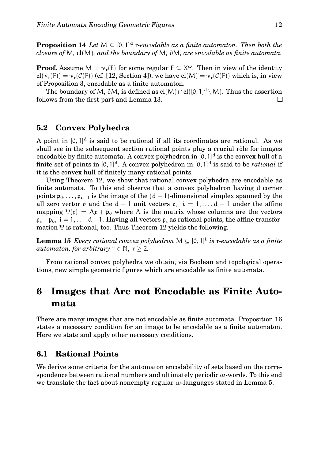**Proposition 14** Let  $M \subseteq [0,1]^d$  r-encodable as a finite automaton. Then both the *closure of* M*,* cl(M)*, and the boundary of* M*,* ∂M*, are encodable as finite automata.*

**Proof.** Assume  $M = \gamma_r(F)$  for some regular  $F \subseteq X^{\omega}$ . Then in view of the identity  $cl(\nu_r(F)) = \nu_r(\mathcal{C}(F))$  (cf. [12, Section 4]), we have  $cl(M) = \nu_r(\mathcal{C}(F))$  which is, in view of Proposition 3, encodable as a finite automaton.

The boundary of M, ∂M, is defined as  $cl(M) \cap cl([0,1]^d \setminus M)$ . Thus the assertion follows from the first part and Lemma 13. ❏

#### **5.2 Convex Polyhedra**

A point in  $[0, 1]$ <sup>d</sup> is said to be rational if all its coordinates are rational. As we shall see in the subsequent section rational points play a crucial rôle for images encodable by finite automata. A convex polyhedron in  $[0,1]^d$  is the convex hull of a finite set of points in  $[0, 1]^d$ . A convex polyhedron in  $[0, 1]^d$  is said to be *rational* if it is the convex hull of finitely many rational points.

Using Theorem 12, we show that rational convex polyhedra are encodable as finite automata. To this end observe that a convex polyhedron having d corner points  $\mathfrak{p}_0, \ldots, \mathfrak{p}_{d-1}$  is the image of the  $(d-1)$ -dimensional simplex spanned by the all zero vector  ${\mathfrak o}$  and the d − 1 unit vectors  ${\mathfrak e}_i, \; i = 1, \ldots, d - 1$  under the affine mapping  $\Psi(x) = Ax + \mathfrak{p}_0$  where A is the matrix whose columns are the vectors  $\mathfrak{p}_i - \mathfrak{p}_0$ ,  $i = 1, \ldots, d - 1$ . Having all vectors  $\mathfrak{p}_i$  as rational points, the affine transformation  $\Psi$  is rational, too. Thus Theorem 12 yields the following.

**Lemma 15** *Every rational convex polyhedron*  $M \subseteq [0,1]^k$  is r-encodable as a finite *automaton, for arbitrary*  $r \in \mathbb{N}$ ,  $r > 2$ .

From rational convex polyhedra we obtain, via Boolean and topological operations, new simple geometric figures which are encodable as finite automata.

## **6 Images that Are not Encodable as Finite Automata**

There are many images that are not encodable as finite automata. Proposition 16 states a necessary condition for an image to be encodable as a finite automaton. Here we state and apply other necessary conditions.

#### **6.1 Rational Points**

We derive some criteria for the automaton encodability of sets based on the correspondence between rational numbers and ultimately periodic  $\omega$ -words. To this end we translate the fact about nonempty regular  $\omega$ -languages stated in Lemma 5.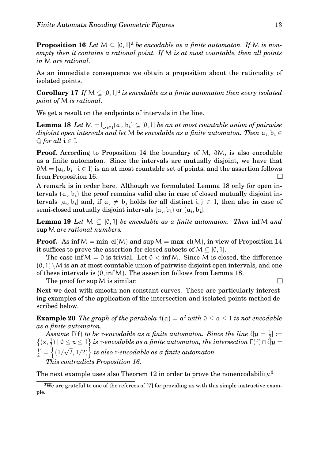**Proposition 16** Let  $M \subseteq [0,1]^d$  be encodable as a finite automaton. If M is non*empty then it contains a rational point. If* M *is at most countable, then all points in* M *are rational.*

As an immediate consequence we obtain a proposition about the rationality of isolated points.

**Corollary 17** If  $M \subseteq [0,1]^d$  is encodable as a finite automaton then every isolated *point of* M *is rational.*

We get a result on the endpoints of intervals in the line.

**Lemma 18** Let  $M = \bigcup_{i \in I} (a_i, b_i) \subseteq [0, 1]$  be an at most countable union of pairwise  $disjoint$  open intervals and let M be encodable as a finite automaton. Then  $\mathfrak{a_i}, \mathfrak{b_i} \in$  $\mathbb{O}$  *for all*  $i \in I$ .

Proof. According to Proposition 14 the boundary of M, ∂M, is also encodable as a finite automaton. Since the intervals are mutually disjoint, we have that  $\partial M = \{a_i, b_i \mid i \in I\}$  is an at most countable set of points, and the assertion follows from Proposition 16. ◯

A remark is in order here. Although we formulated Lemma 18 only for open intervals  $(a_i, b_i)$  the proof remains valid also in case of closed mutually disjoint intervals  $[a_i, b_i]$  and, if  $a_i \neq b_j$  holds for all distinct  $i, j \in I$ , then also in case of  ${\rm semi-closed\ mutually\ disjoint\ intervals\ }[a_{\rm i},b_{\rm i})\ {\rm or\ } (a_{\rm i},b_{\rm i}].$ 

**Lemma 19** *Let*  $M \subseteq [0, 1]$  *be encodable as a finite automaton. Then* inf M *and* supM *are rational numbers.*

**Proof.** As inf  $M = min \text{ cl}(M)$  and  $sup M = max \text{ cl}(M)$ , in view of Proposition 14 it suffices to prove the assertion for closed subsets of  $M \subseteq [0, 1]$ .

The case inf  $M = 0$  is trivial. Let  $0 \lt \inf M$ . Since M is closed, the difference  $(0, 1)$  M is an at most countable union of pairwise disjoint open intervals, and one of these intervals is  $(0, \inf M)$ . The assertion follows from Lemma 18.

The proof for sup M is similar.  $\Box$ 

Next we deal with smooth non-constant curves. These are particularly interesting examples of the application of the intersection-and-isolated-points method described below.

**Example 20** The graph of the parabola  $f(a) = a^2$  with  $0 \le a \le 1$  is not encodable *as a finite automaton.*

Assume  $\Gamma(f)$  to be *r*-encodable as a finite automaton. Since the line  $\ell[y] = \frac{1}{2}$  $\frac{1}{2}$  :=  $\{(x, \frac{1}{2}) \mid 0 \le x \le 1\}$  is r-encodable as a finite automaton, the intersection  $\Gamma(f) \cap \tilde{\ell}[y] =$ 1  $\frac{1}{2}$ ] = { $(1/\sqrt{2},1/2)$ } *is also r-encodable as a finite automaton.* 

*This contradicts Proposition 16.*

The next example uses also Theorem 12 in order to prove the nonencodability.<sup>3</sup>

<sup>&</sup>lt;sup>3</sup>We are grateful to one of the referees of [7] for providing us with this simple instructive example.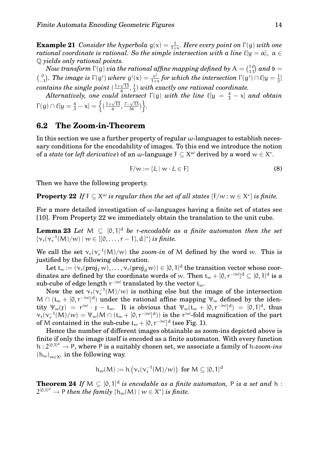**Example 21** *Consider the hyperbola*  $g(x) = \frac{1}{1+x}$ *. Here every point on*  $\Gamma(g)$  *with one rational coordinate is rational. So the simple intersection with a line*  $\ell[y = \alpha]$ ,  $\alpha \in$ Q *yields only rational points.*

 $Now\ transform\ \Gamma(\mathfrak{g})\ via\ the\ rational\ affine\ mapping\ defined\ by\ A= {10 \choose 11} \ and\ \mathfrak{b}=1.$  $\int_0^0$  $\binom{0}{-1}$ . The image is  $\Gamma(g')$  where  $g'(\mathsf{x}) = \frac{\mathsf{x}^2}{1+\mathsf{x}^2}$  $\frac{x^2}{1+x}$  for which the intersection  $\Gamma(g') \cap \ell[y = \frac{1}{3}]$  $\frac{1}{3}$ ] contains the single point  $\left(\frac{1+\sqrt{13}}{6}\right)$  $\frac{\sqrt{13}}{6}, \frac{1}{3}$  $\frac{1}{3}$ ) with exactly one rational coordinate.

 $\Delta$ *lternatively, one could intersect*  $\Gamma(g)$  *with the line*  $\ell[y = \frac{4}{3} - x]$  *and obtain*  $Γ(g) ∩ l[y = \frac{4}{3} - x] = \left\{ \frac{1 + \sqrt{13}}{6} \right\}$  $\frac{\sqrt{13}}{6}, \frac{7-\sqrt{13}}{36}$ ).

#### **6.2 The Zoom-in-Theorem**

In this section we use a further property of regular  $\omega$ -languages to establish necessary conditions for the encodability of images. To this end we introduce the notion of a *state* (or *left derivative*) of an w-language  $F \subseteq X^{\omega}$  derived by a word  $w \in X^*$ .

$$
F/w := \{ \xi \mid w \cdot \xi \in F \}
$$
 (8)

Then we have the following property.

**Property 22** If  $F \subseteq X^\omega$  is regular then the set of all states  $\{F/w : w \in X^*\}$  is finite.

For a more detailed investigation of  $\omega$ -languages having a finite set of states see [10]. From Property 22 we immediately obtain the translation to the unit cube.

**Lemma 23** Let  $M \subseteq [0,1]^d$  be r-encodable as a finite automaton then the set  $\{\nu_r(\nu_r^{-1}(M)/w) \mid w \in [\{0,\ldots,r-1\},d]^*\}$  is finite.

We call the set  $v_r(v_r^{-1}(M)/w)$  the *zoom-in* of M defined by the word w. This is justified by the following observation.

Let  $\mathfrak{t}_w := (\mathsf{v}_\mathsf{r}(\text{proj}_1 w), \dots, \mathsf{v}_\mathsf{r}(\text{proj}_\text{d} w)) \in [0,1]^{\text{d}}$  the transition vector whose coordinates are defined by the coordinate words of w. Then  $\mathfrak{t}_w+[\mathfrak{0},r^{-|w|}]^{\rm d}\subseteq [0,1]^{\rm d}$  is a sub-cube of edge length  $r^{-|\omega|}$  translated by the vector  $\mathfrak{t}_w.$ 

Now the set  $v_r(v_r^{-1}(M)/w)$  is nothing else but the image of the intersection  $M \cap (\mathfrak{t}_{w} + [0, r^{-|w|}]^d)$  under the rational affine mapping  $\Psi_w$  defined by the identity  $\Psi_w(\mathfrak{x}) = r^{|w|} \cdot \mathfrak{x} - \mathfrak{t}_w$ . It is obvious that  $\Psi_w(\mathfrak{t}_w + [0, r^{-|w|}]^d) = [0, 1]^d$ , thus  ${\sf v}_{{\sf r}}({\sf v}_{{\sf r}}^{-1}(M)/w) = \Psi_w(M\cap ({\frak t}_w+[0,{\sf r}^{-|w|}]^{{\rm d}}))$  is the  ${\sf r}^{|w|}$ -fold magnification of the part of M contained in the sub-cube  $\mathfrak{t}_w+[\mathfrak{0},r^{-|w|}]^d$  (see Fig. 1).

Hence the number of different images obtainable as zoom-ins depicted above is finite if only the image itself is encoded as a finite automaton. With every function h :  $2^{[0,1]^d} \rightarrow P$ , where P is a suitably chosen set, we associate a family of h-zoom-ins  $(h_w)_{w \in X^*}$  in the following way.

$$
h_w(M) := h\left(\nu_r(\nu_r^{-1}(M)/w)\right) \text{ for } M \subseteq [0,1]^d
$$

**Theorem 24** If  $M \subseteq [0,1]^d$  is encodable as a finite automaton, P is a set and h:  $2^{[0,1]^d} \rightarrow P$  *then the family* { $h_w(M) \mid w \in X^*$ } *is finite.*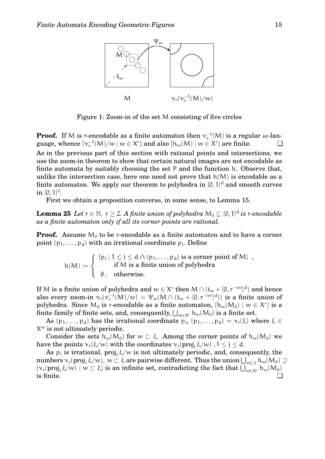

Figure 1: Zoom-in of the set M consisting of five circles

**Proof.** If M is r-encodable as a finite automaton then  $\gamma_r^{-1}(M)$  is a regular  $\omega$ -language, whence  $\{\nu_r^{-1}(M)/w \mid w \in X^*\}$  and also  $\{h_w(M) \mid w \in X^*\}$  are finite.  $\qquad \Box$ As in the previous part of this section with rational points and intersections, we use the zoom-in theorem to show that certain natural images are not encodable as finite automata by suitably choosing the set P and the function h. Observe that, unlike the intersection case, here one need not prove that  $h(M)$  is encodable as a finite automaton. We apply our theorem to polyhedra in  $[0,1]$ <sup>d</sup> and smooth curves in  $[0, 1]^2$ .

First we obtain a proposition converse, in some sense, to Lemma 15.

**Lemma 25** *Let*  $r \in \mathbb{N}$ ,  $r \geq 2$ . A finite union of polyhedra  $M_0 \subseteq [0, 1]^d$  is r-encodable *as a finite automaton only if all its corner points are rational.*

**Proof.** Assume  $M_0$  to be r-encodable as a finite automaton and to have a corner point  $(\mathfrak{p}_1,\ldots,\mathfrak{p}_d)$  with an irrational coordinate  $\mathfrak{p}_\mathfrak{i}.$  Define

$$
h(M) := \left\{ \begin{array}{l} \{p_j \mid 1 \leq j \leq d \wedge (p_1, \ldots, p_d) \text{ is a corner point of } M \} \\ \text{if $M$ is a finite union of polyhedra} \\ \emptyset, \quad \text{otherwise.} \end{array} \right.
$$

If M is a finite union of polyhedra and  $w\in\mathsf{X}^*$  then  $\mathsf{M}\cap(\mathfrak{t}_w+[\mathsf{0},r^{-|w|}]^{\mathsf{d}})$  and hence also every zoom-in  $\gamma_r(\gamma_r^{-1}(M)/w) = \Psi_w(M \cap (\mathfrak{t}_w + [0, r^{-|w|}]^d))$  is a finite union of polyhedra. Since  $M_0$  is r-encodable as a finite automaton,  $\{h_w(M_0) \mid w \in X^*\}$  is a finite family of finite sets, and, consequently,  $\bigcup_{w\in X^*}\mathsf{h}_w(\mathsf{M_0})$  is a finite set.

As  $(p_1, \ldots, p_d)$  has the irrational coordinate  $p_i$ ,  $(p_1, \ldots, p_d) = \nu_r(\xi)$  where  $\xi \in$  $X^{\omega}$  is not ultimately periodic.

Consider the sets  $h_w(M_0)$  for  $w \in \xi$ . Among the corner points of  $h_w(M_0)$  we have the points  $\nu_r(\xi/w)$  with the coordinates  $\nu_r(proj_i\xi/w)$ ,  $1 \le j \le d$ .

As  $p_i$  is irrational, proj<sub>i</sub>  $\xi/w$  is not ultimately periodic, and, consequently, the  ${\rm numbers}\,\nu_{\rm r}({\rm proj}_{{\rm i}}\,\xi/w),\,w\sqsubset \xi$  are pairwise different. Thus the union  $\bigcup_{w\sqsubset \xi}{\rm h}_w(M_0)\supseteq 0$  $\{v_r(\text{proj}_i \xi/w) \mid w \sqsubset \xi\}$  is an infinite set, contradicting the fact that  $\bigcup_{w \in X^*}^{\infty} h_w(M_0)$ is finite.  $\Box$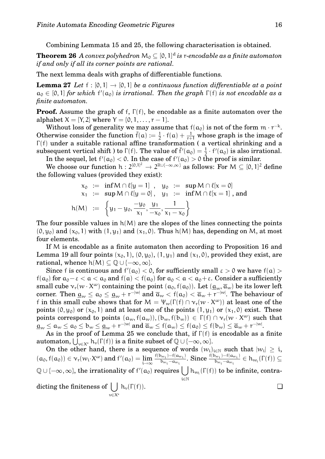Combining Lemmata 15 and 25, the following characterisation is obtained.

**Theorem 26**  $A$  convex polyhedron  $\mathsf{M}_{0} \subseteq [0,1]^{d}$  is  $\mathsf{r}\text{-}encodeable$  as a finite automaton *if and only if all its corner points are rational.*

The next lemma deals with graphs of differentiable functions.

**Lemma 27** *Let*  $f : [0, 1] \rightarrow [0, 1]$  *be a continuous function differentiable at a point*  $a_0 \in [0, 1]$  *for which*  $f'(a_0)$  *is irrational. Then the graph*  $\Gamma(f)$  *is not encodable as a finite automaton.*

**Proof.** Assume the graph of f,  $\Gamma(f)$ , be encodable as a finite automaton over the alphabet  $X = [Y, 2]$  where  $Y = \{0, 1, ..., r - 1\}$ .

Without loss of generality we may assume that  $f(a_0)$  is not of the form  $m \cdot r^{-k}$ . Otherwise consider the function  $\bar{f}(a) := \frac{1}{2} \cdot f(a) + \frac{1}{r+1}$  whose graph is the image of Γ(f) under a suitable rational affine transformation (a vertical shrinking and a subsequent vertical shift ) to  $\Gamma(f)$ . The value of  $\bar{f}'(a_0) = \frac{1}{2} \cdot f'(a_0)$  is also irrational. In the sequel, let  $f'(a_0) < 0$ . In the case of  $f'(a_0) > 0$  the proof is similar.

We choose our function  $h: 2^{[0,1]^2} \to 2^{\mathbb{R} \cup \{-\infty,\infty\}}$  as follows: For  $M \subseteq [0,1]^2$  define the following values (provided they exist):

$$
x_0 := \inf M \cap \ell[y = 1], \quad y_0 := \sup M \cap \ell[x = 0]
$$
  
\n
$$
x_1 := \sup M \cap \ell[y = 0], \quad y_1 := \inf M \cap \ell[x = 1], \text{ and}
$$
  
\n
$$
h(M) := \left\{ y_1 - y_0, \frac{-y_0}{x_1}, \frac{y_1}{-x_0}, \frac{1}{x_1 - x_0} \right\}
$$

The four possible values in  $h(M)$  are the slopes of the lines connecting the points  $(0, y_0)$  and  $(x_0, 1)$  with  $(1, y_1)$  and  $(x_1, 0)$ . Thus h(M) has, depending on M, at most four elements.

If M is encodable as a finite automaton then according to Proposition 16 and Lemma 19 all four points  $(x_0, 1)$ ,  $(0, y_0)$ ,  $(1, y_1)$  and  $(x_1, 0)$ , provided they exist, are rational, whence  $h(M) \subseteq \mathbb{Q} \cup \{-\infty, \infty\}.$ 

Since f is continuous and  $f'(a_0) < 0$ , for sufficiently small  $\varepsilon > 0$  we have  $f(a) > 0$ f(a<sub>0</sub>) for  $a_0 - \varepsilon < a < a_0$  and f(a)  $<$  f(a<sub>0</sub>) for  $a_0 < a < a_0 + \varepsilon$ . Consider a sufficiently small cube  $v_r(w \cdot X^{\omega})$  containing the point  $(a_0, f(a_0))$ . Let  $(\underline{a}_w, \overline{a}_w)$  be its lower left corner. Then  $\underline{a}_w\leq a_0\leq \underline{a}_w+r^{-|w|}$  and  $\overline{a}_w< f(a_0)<\overline{a}_w+r^{-|w|}.$  The behaviour of f in this small cube shows that for  $M = \Psi_w(\Gamma(f) \cap \nu_r(w \cdot X^{\omega}))$  at least one of the points  $(0, y_0)$  or  $(x_0, 1)$  and at least one of the points  $(1, y_1)$  or  $(x_1, 0)$  exist. These points correspond to points  $(a_w, f(a_w))$ ,  $(b_w, f(b_w)) \in \Gamma(f) \cap \gamma_r(w \cdot X^{\omega})$  such that  $\underline{\alpha}_w\leq a_w\leq a_0\leq b_w\leq \underline{\alpha}_w+r^{-|w|} \text{ and } \overline{a}_w\leq f(a_w)\leq f(a_0)\leq f(b_w)\leq \overline{a}_w+r^{-|w|}.$ 

As in the proof of Lemma 25 we conclude that, if  $\Gamma(f)$  is encodable as a finite automaton,  $\overline{\bigcup}_{v \in X^*} h_v(\Gamma(f))$  is a finite subset of  $\mathbb{Q} \cup \{-\infty, \infty\}$ .

On the other hand, there is a sequence of words  $(w_i)_{i\in\mathbb{N}}$  such that  $|w_i|\geq i$ ,  $(a_0, f(a_0)) \in \nu_r(w_i \cdot X^\omega)$  and  $f'(a_0) = \lim$ <sup>i</sup>→∞  $f(b_{w_i})-f(a_{w_i})$  $\frac{b_{w_i}-f(a_{w_i})}{b_{w_i}-a_{w_i}}$ . Since  $\frac{f(b_{w_i})-f(a_{w_i})}{b_{w_i}-a_{w_i}}$  $\frac{\partial w_i}{\partial w_i - a_{w_i}} \in h_{w_i}(\Gamma(f)) \subseteq$  $\mathbb{Q} \cup \{\infty, \infty\}$ , the irrationality of  $f'(a_0)$  requires  $\bigcup h_{w_i}(\Gamma(f))$  to be infinite, contrai∈N dicting the finiteness of  $| \ \ |$  $h_v(\Gamma(f)).$ 

v∈X<sup>∗</sup>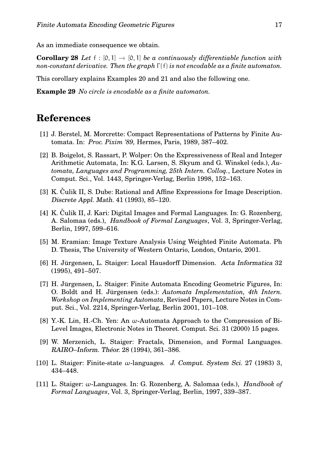As an immediate consequence we obtain.

**Corollary 28** Let  $f : [0, 1] \rightarrow [0, 1]$  be a continuously differentiable function with *non-constant derivative. Then the graph*  $\Gamma(f)$  *is not encodable as a finite automaton.* 

This corollary explains Examples 20 and 21 and also the following one.

**Example 29** *No circle is encodable as a finite automaton.*

## **References**

- [1] J. Berstel, M. Morcrette: Compact Representations of Patterns by Finite Automata. In: *Proc. Pixim '89,* Hermes, Paris, 1989, 387–402.
- [2] B. Boigelot, S. Rassart, P. Wolper: On the Expressiveness of Real and Integer Arithmetic Automata, In: K.G. Larsen, S. Skyum and G. Winskel (eds.), *Automata, Languages and Programming, 25th Intern. Colloq.*, Lecture Notes in Comput. Sci., Vol. 1443, Springer-Verlag, Berlin 1998, 152–163.
- [3] K. Culik II, S. Dube: Rational and Affine Expressions for Image Description. Discrete Appl. Math. 41 (1993), 85–120.
- [4] K. Culik II, J. Kari: Digital Images and Formal Languages. In: G. Rozenberg, A. Salomaa (eds.), *Handbook of Formal Languages*, Vol. 3, Springer-Verlag, Berlin, 1997, 599–616.
- [5] M. Eramian: Image Texture Analysis Using Weighted Finite Automata. Ph D. Thesis, The University of Western Ontario, London, Ontario, 2001.
- [6] H. Jürgensen, L. Staiger: Local Hausdorff Dimension. Acta Informatica 32 (1995), 491–507.
- [7] H. Jürgensen, L. Staiger: Finite Automata Encoding Geometric Figures, In: O. Boldt and H. Jürgensen (eds.): *Automata Implementation, 4th Intern. Workshop on Implementing Automata*, Revised Papers, Lecture Notes in Comput. Sci., Vol. 2214, Springer-Verlag, Berlin 2001, 101–108.
- [8] Y.-K. Lin, H.-Ch. Yen: An ω-Automata Approach to the Compression of Bi-Level Images, Electronic Notes in Theoret. Comput. Sci. 31 (2000) 15 pages.
- [9] W. Merzenich, L. Staiger: Fractals, Dimension, and Formal Languages. RAIRO–Inform. Théor. 28 (1994), 361–386.
- [10] L. Staiger: Finite-state ω-languages. J. Comput. System Sci. 27 (1983) 3, 434–448.
- [11] L. Staiger: ω-Languages. In: G. Rozenberg, A. Salomaa (eds.), *Handbook of Formal Languages*, Vol. 3, Springer-Verlag, Berlin, 1997, 339–387.